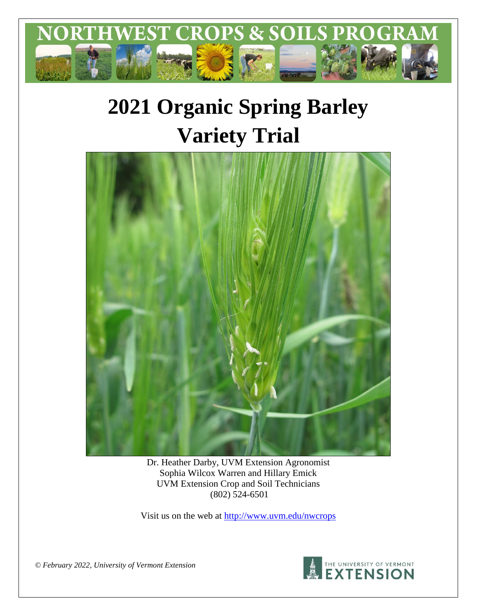

# **2021 Organic Spring Barley Variety Trial**



Dr. Heather Darby, UVM Extension Agronomist Sophia Wilcox Warren and Hillary Emick UVM Extension Crop and Soil Technicians (802) 524-6501

Visit us on the web at<http://www.uvm.edu/nwcrops>

*© February 2022, University of Vermont Extension*

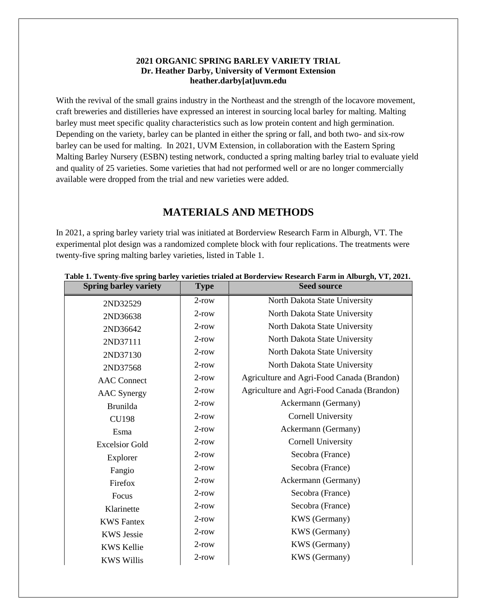### **2021 ORGANIC SPRING BARLEY VARIETY TRIAL Dr. Heather Darby, University of Vermont Extension heather.darby[at]uvm.edu**

With the revival of the small grains industry in the Northeast and the strength of the locavore movement, craft breweries and distilleries have expressed an interest in sourcing local barley for malting. Malting barley must meet specific quality characteristics such as low protein content and high germination. Depending on the variety, barley can be planted in either the spring or fall, and both two- and six-row barley can be used for malting. In 2021, UVM Extension, in collaboration with the Eastern Spring Malting Barley Nursery (ESBN) testing network, conducted a spring malting barley trial to evaluate yield and quality of 25 varieties. Some varieties that had not performed well or are no longer commercially available were dropped from the trial and new varieties were added.

## **MATERIALS AND METHODS**

In 2021, a spring barley variety trial was initiated at Borderview Research Farm in Alburgh, VT. The experimental plot design was a randomized complete block with four replications. The treatments were twenty-five spring malting barley varieties, listed in Table 1.

| <b>Spring barley variety</b>  | <b>Type</b> | <b>Seed source</b>                         |  |  |  |
|-------------------------------|-------------|--------------------------------------------|--|--|--|
| 2ND32529                      | $2$ -row    | North Dakota State University              |  |  |  |
| 2ND36638                      | $2$ -row    | North Dakota State University              |  |  |  |
| 2ND36642                      | $2$ -row    | North Dakota State University              |  |  |  |
| 2ND37111                      | $2$ -row    | North Dakota State University              |  |  |  |
| 2ND37130                      | $2$ -row    | North Dakota State University              |  |  |  |
| 2ND37568                      | $2$ -row    | North Dakota State University              |  |  |  |
| <b>AAC</b> Connect            | $2$ -row    | Agriculture and Agri-Food Canada (Brandon) |  |  |  |
| <b>AAC</b> Synergy            | $2$ -row    | Agriculture and Agri-Food Canada (Brandon) |  |  |  |
| <b>Brunilda</b>               | $2$ -row    | Ackermann (Germany)                        |  |  |  |
| <b>CU198</b>                  | $2$ -row    | <b>Cornell University</b>                  |  |  |  |
| Esma                          | $2$ -row    | Ackermann (Germany)                        |  |  |  |
| <b>Excelsior Gold</b>         | $2$ -row    | <b>Cornell University</b>                  |  |  |  |
| Explorer                      | $2$ -row    | Secobra (France)                           |  |  |  |
| Fangio                        | $2$ -row    | Secobra (France)                           |  |  |  |
| Firefox                       | $2$ -row    | Ackermann (Germany)                        |  |  |  |
| Focus                         | $2$ -row    | Secobra (France)                           |  |  |  |
| Klarinette                    | $2$ -row    | Secobra (France)                           |  |  |  |
| <b>KWS</b> Fantex             | $2$ -row    | <b>KWS</b> (Germany)                       |  |  |  |
| <b>KWS Jessie</b>             | $2$ -row    | KWS (Germany)                              |  |  |  |
| <b>KWS Kellie</b>             | $2$ -row    | KWS (Germany)                              |  |  |  |
| $2$ -row<br><b>KWS Willis</b> |             | <b>KWS</b> (Germany)                       |  |  |  |

#### **Table 1. Twenty-five spring barley varieties trialed at Borderview Research Farm in Alburgh, VT, 2021.**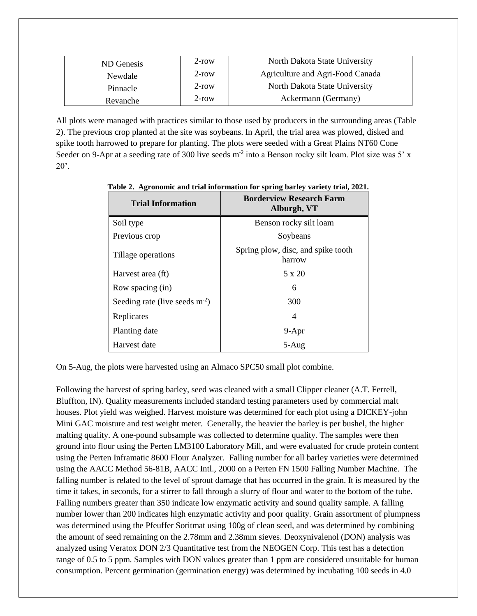| ND Genesis | $2$ -row | North Dakota State University    |
|------------|----------|----------------------------------|
| Newdale    | $2$ -row | Agriculture and Agri-Food Canada |
| Pinnacle   | $2$ -row | North Dakota State University    |
| Revanche   | $2$ -row | Ackermann (Germany)              |

All plots were managed with practices similar to those used by producers in the surrounding areas (Table 2). The previous crop planted at the site was soybeans. In April, the trial area was plowed, disked and spike tooth harrowed to prepare for planting. The plots were seeded with a Great Plains NT60 Cone Seeder on 9-Apr at a seeding rate of 300 live seeds  $m<sup>2</sup>$  into a Benson rocky silt loam. Plot size was 5' x  $20$ .

| <b>Trial Information</b>         | <b>Borderview Research Farm</b><br>Alburgh, VT |
|----------------------------------|------------------------------------------------|
| Soil type                        | Benson rocky silt loam                         |
| Previous crop                    | Soybeans                                       |
| Tillage operations               | Spring plow, disc, and spike tooth<br>harrow   |
| Harvest area (ft)                | 5 x 20                                         |
| Row spacing (in)                 | 6                                              |
| Seeding rate (live seeds $m-2$ ) | 300                                            |
| Replicates                       | 4                                              |
| Planting date                    | $9-Apr$                                        |
| Harvest date                     | $5-Aug$                                        |

**Table 2. Agronomic and trial information for spring barley variety trial, 2021.**

On 5-Aug, the plots were harvested using an Almaco SPC50 small plot combine.

Following the harvest of spring barley, seed was cleaned with a small Clipper cleaner (A.T. Ferrell, Bluffton, IN). Quality measurements included standard testing parameters used by commercial malt houses. Plot yield was weighed. Harvest moisture was determined for each plot using a DICKEY-john Mini GAC moisture and test weight meter. Generally, the heavier the barley is per bushel, the higher malting quality. A one-pound subsample was collected to determine quality. The samples were then ground into flour using the Perten LM3100 Laboratory Mill, and were evaluated for crude protein content using the Perten Inframatic 8600 Flour Analyzer. Falling number for all barley varieties were determined using the AACC Method 56-81B, AACC Intl., 2000 on a Perten FN 1500 Falling Number Machine. The falling number is related to the level of sprout damage that has occurred in the grain. It is measured by the time it takes, in seconds, for a stirrer to fall through a slurry of flour and water to the bottom of the tube. Falling numbers greater than 350 indicate low enzymatic activity and sound quality sample. A falling number lower than 200 indicates high enzymatic activity and poor quality. Grain assortment of plumpness was determined using the Pfeuffer Soritmat using 100g of clean seed, and was determined by combining the amount of seed remaining on the 2.78mm and 2.38mm sieves. Deoxynivalenol (DON) analysis was analyzed using Veratox DON 2/3 Quantitative test from the NEOGEN Corp. This test has a detection range of 0.5 to 5 ppm. Samples with DON values greater than 1 ppm are considered unsuitable for human consumption. Percent germination (germination energy) was determined by incubating 100 seeds in 4.0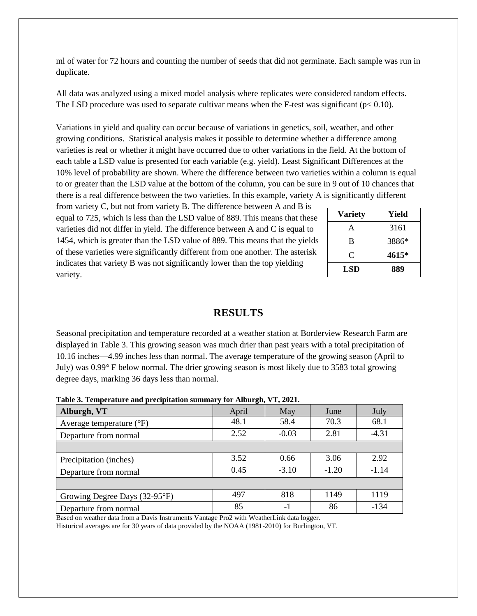ml of water for 72 hours and counting the number of seeds that did not germinate. Each sample was run in duplicate.

All data was analyzed using a mixed model analysis where replicates were considered random effects. The LSD procedure was used to separate cultivar means when the F-test was significant ( $p < 0.10$ ).

Variations in yield and quality can occur because of variations in genetics, soil, weather, and other growing conditions. Statistical analysis makes it possible to determine whether a difference among varieties is real or whether it might have occurred due to other variations in the field. At the bottom of each table a LSD value is presented for each variable (e.g. yield). Least Significant Differences at the 10% level of probability are shown. Where the difference between two varieties within a column is equal to or greater than the LSD value at the bottom of the column, you can be sure in 9 out of 10 chances that there is a real difference between the two varieties. In this example, variety A is significantly different

from variety C, but not from variety B. The difference between A and B is equal to 725, which is less than the LSD value of 889. This means that these varieties did not differ in yield. The difference between A and C is equal to 1454, which is greater than the LSD value of 889. This means that the yields of these varieties were significantly different from one another. The asterisk indicates that variety B was not significantly lower than the top yielding variety.

| <b>Variety</b> | Yield |  |  |  |
|----------------|-------|--|--|--|
| A              | 3161  |  |  |  |
| B              | 3886* |  |  |  |
| C              | 4615* |  |  |  |
| LSD            | 889   |  |  |  |

## **RESULTS**

Seasonal precipitation and temperature recorded at a weather station at Borderview Research Farm are displayed in Table 3. This growing season was much drier than past years with a total precipitation of 10.16 inches—4.99 inches less than normal. The average temperature of the growing season (April to July) was 0.99° F below normal. The drier growing season is most likely due to 3583 total growing degree days, marking 36 days less than normal.

| Alburgh, VT                         | $\sigma$ ,<br>April | May     | June    | July    |
|-------------------------------------|---------------------|---------|---------|---------|
| Average temperature $({}^{\circ}F)$ | 48.1                | 58.4    | 70.3    | 68.1    |
| Departure from normal               | 2.52                | $-0.03$ | 2.81    | $-4.31$ |
|                                     |                     |         |         |         |
| Precipitation (inches)              | 3.52                | 0.66    | 3.06    | 2.92    |
| Departure from normal               | 0.45                | $-3.10$ | $-1.20$ | $-1.14$ |
|                                     |                     |         |         |         |
| Growing Degree Days (32-95°F)       | 497                 | 818     | 1149    | 1119    |
| Departure from normal               | 85                  | -1      | 86      | $-134$  |

**Table 3. Temperature and precipitation summary for Alburgh, VT, 2021.**

Based on weather data from a Davis Instruments Vantage Pro2 with WeatherLink data logger.

Historical averages are for 30 years of data provided by the NOAA (1981-2010) for Burlington, VT.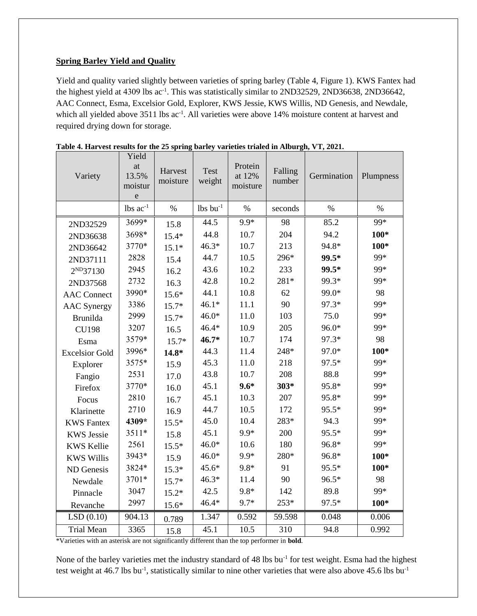### **Spring Barley Yield and Quality**

Yield and quality varied slightly between varieties of spring barley (Table 4, Figure 1). KWS Fantex had the highest yield at 4309 lbs ac<sup>-1</sup>. This was statistically similar to 2ND32529, 2ND36638, 2ND36642, AAC Connect, Esma, Excelsior Gold, Explorer, KWS Jessie, KWS Willis, ND Genesis, and Newdale, which all yielded above 3511 lbs ac<sup>-1</sup>. All varieties were above 14% moisture content at harvest and required drying down for storage.

| Variety               | Yield<br>at<br>13.5%<br>moistur<br>$\mathbf e$ | Harvest<br>moisture | <b>Test</b><br>weight  | Protein<br>at 12%<br>moisture | Falling<br>number | Germination | Plumpness |
|-----------------------|------------------------------------------------|---------------------|------------------------|-------------------------------|-------------------|-------------|-----------|
|                       | $lbs$ $ac^{-1}$                                | $\%$                | $lbs$ bu <sup>-1</sup> | $\%$                          | seconds           | $\%$        | $\%$      |
| 2ND32529              | 3699*                                          | 15.8                | 44.5                   | 9.9*                          | 98                | 85.2        | 99*       |
| 2ND36638              | 3698*                                          | $15.4*$             | 44.8                   | 10.7                          | 204               | 94.2        | $100*$    |
| 2ND36642              | 3770*                                          | $15.1*$             | $46.3*$                | 10.7                          | 213               | 94.8*       | $100*$    |
| 2ND37111              | 2828                                           | 15.4                | 44.7                   | 10.5                          | 296*              | 99.5*       | 99*       |
| 2 <sup>ND</sup> 37130 | 2945                                           | 16.2                | 43.6                   | 10.2                          | 233               | 99.5*       | 99*       |
| 2ND37568              | 2732                                           | 16.3                | 42.8                   | 10.2                          | 281*              | 99.3*       | 99*       |
| <b>AAC</b> Connect    | 3990*                                          | $15.6*$             | 44.1                   | 10.8                          | 62                | 99.0*       | 98        |
| <b>AAC</b> Synergy    | 3386                                           | 15.7*               | $46.1*$                | 11.1                          | 90                | 97.3*       | 99*       |
| <b>Brunilda</b>       | 2999                                           | $15.7*$             | $46.0*$                | 11.0                          | 103               | 75.0        | 99*       |
| <b>CU198</b>          | 3207                                           | 16.5                | $46.4*$                | 10.9                          | 205               | 96.0*       | 99*       |
| Esma                  | 3579*                                          | 15.7*               | $46.7*$                | 10.7                          | 174               | 97.3*       | 98        |
| <b>Excelsior Gold</b> | 3996*                                          | $14.8*$             | 44.3                   | 11.4                          | 248*              | 97.0*       | $100*$    |
| Explorer              | 3575*                                          | 15.9                | 45.3                   | 11.0                          | 218               | 97.5*       | 99*       |
| Fangio                | 2531                                           | 17.0                | 43.8                   | 10.7                          | 208               | 88.8        | 99*       |
| Firefox               | 3770*                                          | 16.0                | 45.1                   | $9.6*$                        | $303*$            | 95.8*       | 99*       |
| Focus                 | 2810                                           | 16.7                | 45.1                   | 10.3                          | 207               | 95.8*       | 99*       |
| Klarinette            | 2710                                           | 16.9                | 44.7                   | 10.5                          | 172               | 95.5*       | 99*       |
| <b>KWS</b> Fantex     | 4309*                                          | $15.5*$             | 45.0                   | 10.4                          | 283*              | 94.3        | 99*       |
| <b>KWS Jessie</b>     | 3511*                                          | 15.8                | 45.1                   | 9.9*                          | 200               | 95.5*       | 99*       |
| <b>KWS Kellie</b>     | 2561                                           | $15.5*$             | $46.0*$                | 10.6                          | 180               | 96.8*       | 99*       |
| <b>KWS Willis</b>     | 3943*                                          | 15.9                | $46.0*$                | 9.9*                          | 280*              | 96.8*       | $100*$    |
| ND Genesis            | 3824*                                          | $15.3*$             | $45.6*$                | $9.8*$                        | 91                | 95.5*       | $100*$    |
| Newdale               | 3701*                                          | $15.7*$             | $46.3*$                | 11.4                          | 90                | 96.5*       | 98        |
| Pinnacle              | 3047                                           | $15.2*$             | 42.5                   | 9.8*                          | 142               | 89.8        | 99*       |
| Revanche              | 2997                                           | $15.6*$             | 46.4*                  | 9.7*                          | 253*              | 97.5*       | $100*$    |
| LSD(0.10)             | 904.13                                         | 0.789               | 1.347                  | 0.592                         | 59.598            | 0.048       | 0.006     |
| <b>Trial Mean</b>     | 3365                                           | 15.8                | 45.1                   | 10.5                          | 310               | 94.8        | 0.992     |

**Table 4. Harvest results for the 25 spring barley varieties trialed in Alburgh, VT, 2021.**

\*Varieties with an asterisk are not significantly different than the top performer in **bold**.

None of the barley varieties met the industry standard of 48 lbs bu<sup>-1</sup> for test weight. Esma had the highest test weight at 46.7 lbs bu<sup>-1</sup>, statistically similar to nine other varieties that were also above 45.6 lbs bu<sup>-1</sup>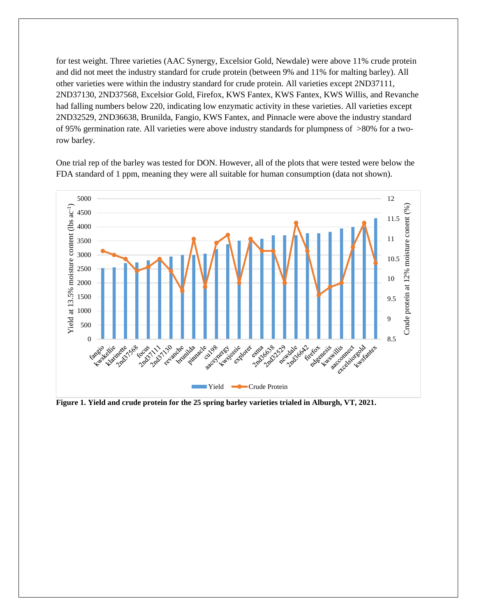for test weight. Three varieties (AAC Synergy, Excelsior Gold, Newdale) were above 11% crude protein and did not meet the industry standard for crude protein (between 9% and 11% for malting barley). All other varieties were within the industry standard for crude protein. All varieties except 2ND37111, 2ND37130, 2ND37568, Excelsior Gold, Firefox, KWS Fantex, KWS Fantex, KWS Willis, and Revanche had falling numbers below 220, indicating low enzymatic activity in these varieties. All varieties except 2ND32529, 2ND36638, Brunilda, Fangio, KWS Fantex, and Pinnacle were above the industry standard of 95% germination rate. All varieties were above industry standards for plumpness of >80% for a tworow barley.

One trial rep of the barley was tested for DON. However, all of the plots that were tested were below the FDA standard of 1 ppm, meaning they were all suitable for human consumption (data not shown).



**Figure 1. Yield and crude protein for the 25 spring barley varieties trialed in Alburgh, VT, 2021.**